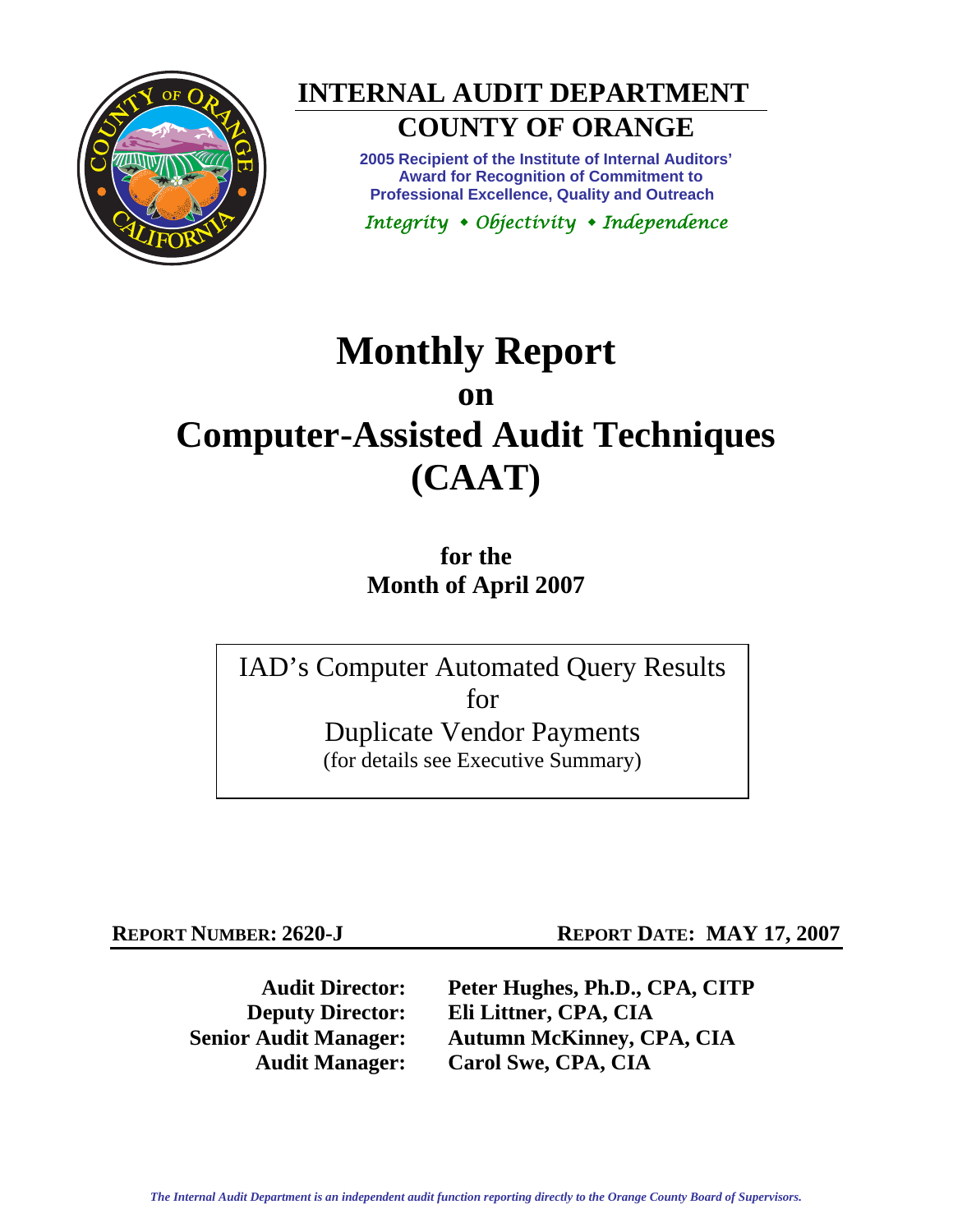



# **COUNTY OF ORANGE**

**2005 Recipient of the Institute of Internal Auditors' Award for Recognition of Commitment to Professional Excellence, Quality and Outreach** 

*Integrity Objectivity Independence* 

# **Monthly Report on**

## **Computer-Assisted Audit Techniques (CAAT)**

**for the Month of April 2007** 

IAD's Computer Automated Query Results for Duplicate Vendor Payments (for details see Executive Summary)

**REPORT NUMBER: 2620-J REPORT DATE: MAY 17, 2007** 

**Audit Director: Peter Hughes, Ph.D., CPA, CITP Deputy Director: Eli Littner, CPA, CIA Senior Audit Manager: Autumn McKinney, CPA, CIA Audit Manager: Carol Swe, CPA, CIA**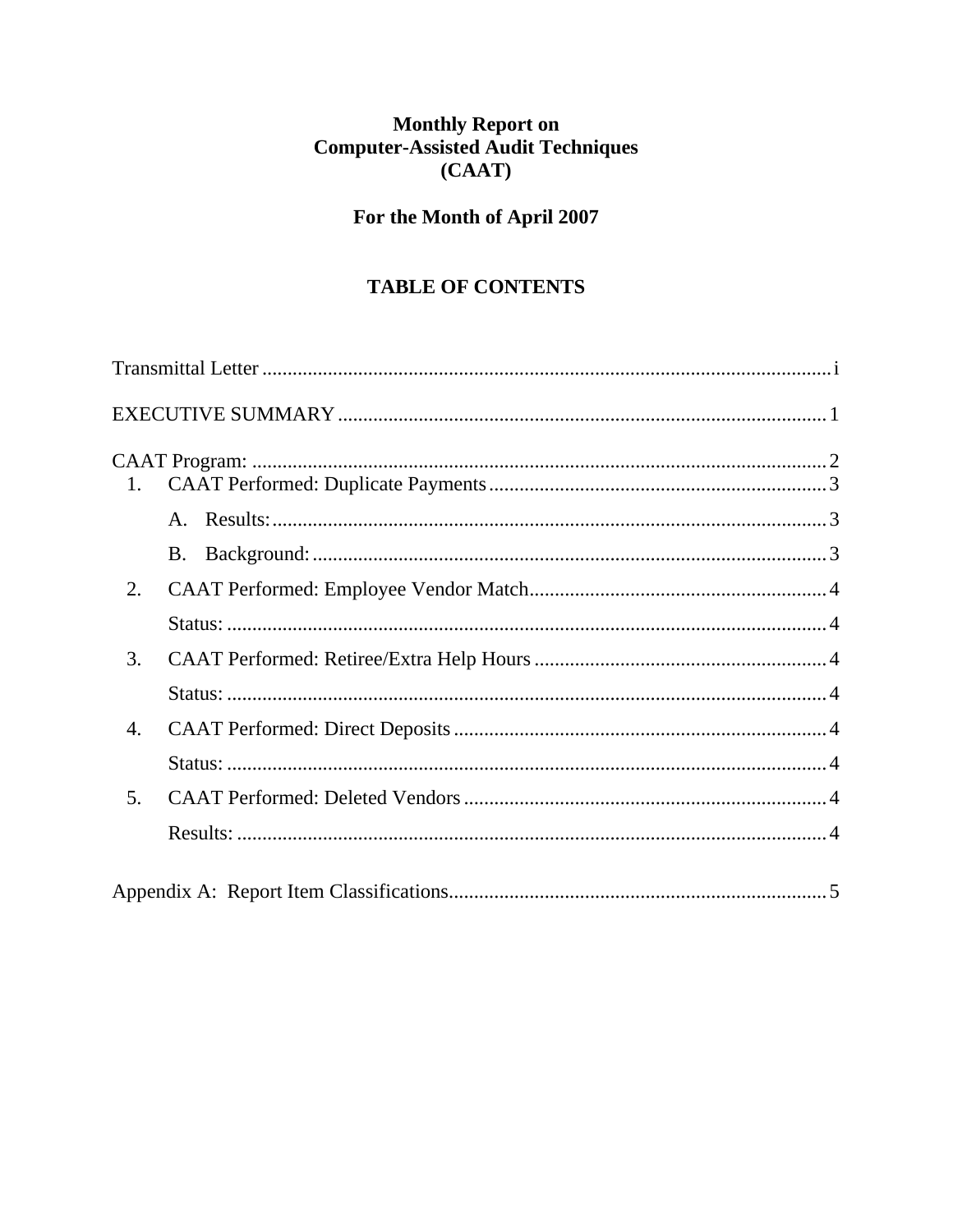## Monthly Report on<br>Computer-Assisted Audit Techniques  $(CAAT)$

### For the Month of April 2007

#### **TABLE OF CONTENTS**

| 1.             |  |
|----------------|--|
|                |  |
|                |  |
| 2.             |  |
|                |  |
| 3.             |  |
|                |  |
| 4.             |  |
|                |  |
| 5 <sub>1</sub> |  |
|                |  |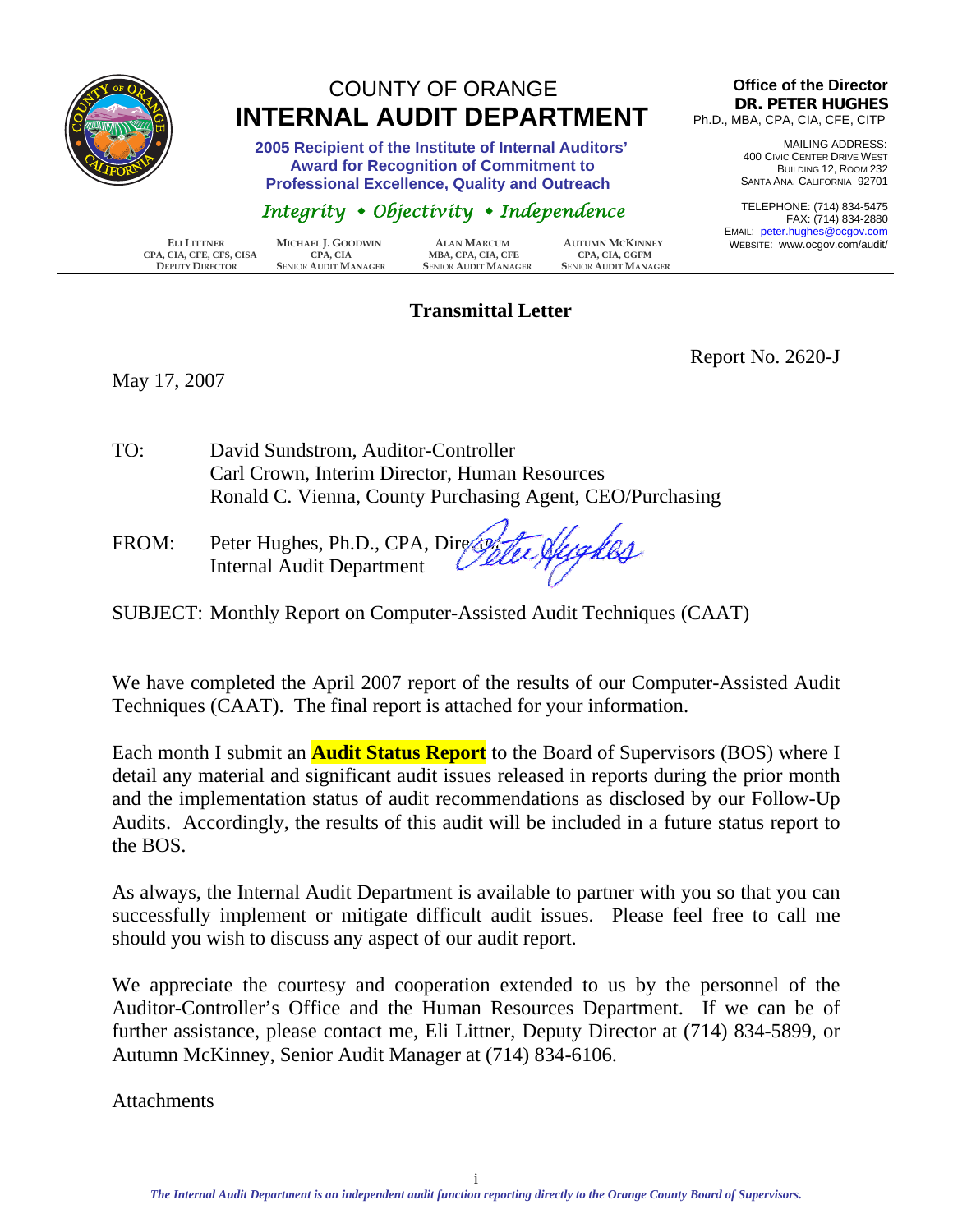<span id="page-2-0"></span>

## COUNTY OF ORANGE  **INTERNAL AUDIT DEPARTMENT**

 **2005 Recipient of the Institute of Internal Auditors' Award for Recognition of Commitment to Professional Excellence, Quality and Outreach** 

#### *Integrity Objectivity Independence*

| ELI LITTNER              | MICHAEL J. GOODWIN          | <b>ALAN MARCUM</b>          | <b>AUTUMN MCKINNEY</b>      | LIVIAIL. |
|--------------------------|-----------------------------|-----------------------------|-----------------------------|----------|
|                          |                             |                             |                             | WEBS     |
| CPA, CIA, CFE, CFS, CISA | CPA. CIA                    | MBA, CPA, CIA, CFE          | <b>CPA. CIA. CGFM</b>       |          |
| <b>DEPUTY DIRECTOR</b>   | <b>SENIOR AUDIT MANAGER</b> | <b>SENIOR AUDIT MANAGER</b> | <b>SENIOR AUDIT MANAGER</b> |          |

#### **Transmittal Letter**

#### **Office of the Director DR. PETER HUGHES** Ph.D., MBA, CPA, CIA, CFE, CITP

MAILING ADDRESS: 400 CIVIC CENTER DRIVE WEST BUILDING 12, ROOM 232 SANTA ANA, CALIFORNIA 92701

TELEPHONE: (714) 834-5475 FAX: (714) 834-2880 EMAIL: peter.hughes@ocgov.com BITE: www.ocgov.com/audit/

May 17, 2007

Report No. 2620-J

- TO: David Sundstrom, Auditor-Controller Carl Crown, Interim Director, Human Resources Ronald C. Vienna, County Purchasing Agent, CEO/Purchasing
- FROM: Peter Hughes, Ph.D., CPA, Director Internal Audit Department
- SUBJECT: Monthly Report on Computer-Assisted Audit Techniques (CAAT)

We have completed the April 2007 report of the results of our Computer-Assisted Audit Techniques (CAAT). The final report is attached for your information.

Each month I submit an **Audit Status Report** to the Board of Supervisors (BOS) where I detail any material and significant audit issues released in reports during the prior month and the implementation status of audit recommendations as disclosed by our Follow-Up Audits. Accordingly, the results of this audit will be included in a future status report to the BOS.

As always, the Internal Audit Department is available to partner with you so that you can successfully implement or mitigate difficult audit issues. Please feel free to call me should you wish to discuss any aspect of our audit report.

We appreciate the courtesy and cooperation extended to us by the personnel of the Auditor-Controller's Office and the Human Resources Department. If we can be of further assistance, please contact me, Eli Littner, Deputy Director at (714) 834-5899, or Autumn McKinney, Senior Audit Manager at (714) 834-6106.

**Attachments**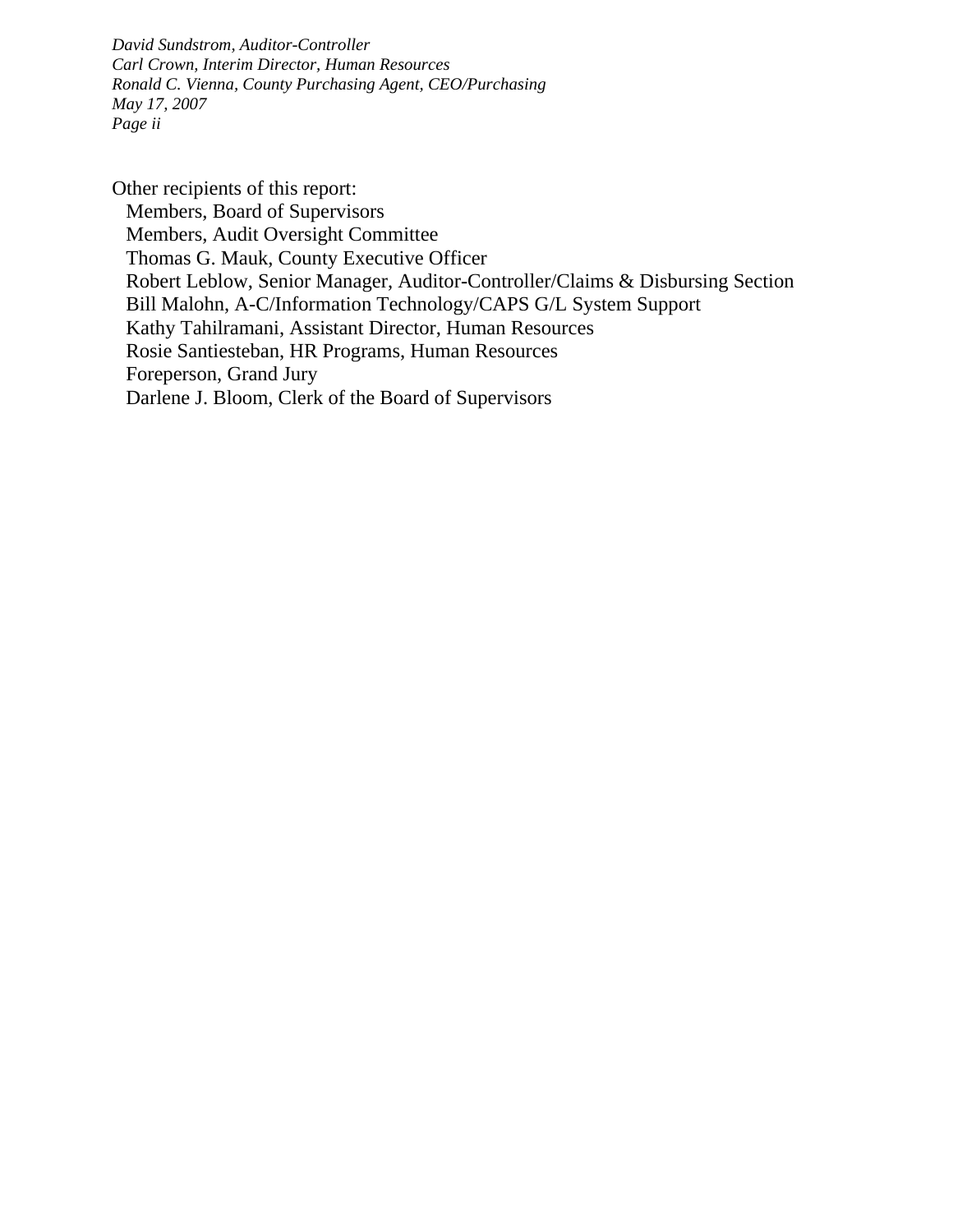*David Sundstrom, Auditor-Controller Carl Crown, Interim Director, Human Resources Ronald C. Vienna, County Purchasing Agent, CEO/Purchasing May 17, 2007 Page ii* 

Other recipients of this report: Members, Board of Supervisors Members, Audit Oversight Committee Thomas G. Mauk, County Executive Officer Robert Leblow, Senior Manager, Auditor-Controller/Claims & Disbursing Section Bill Malohn, A-C/Information Technology/CAPS G/L System Support Kathy Tahilramani, Assistant Director, Human Resources Rosie Santiesteban, HR Programs, Human Resources Foreperson, Grand Jury Darlene J. Bloom, Clerk of the Board of Supervisors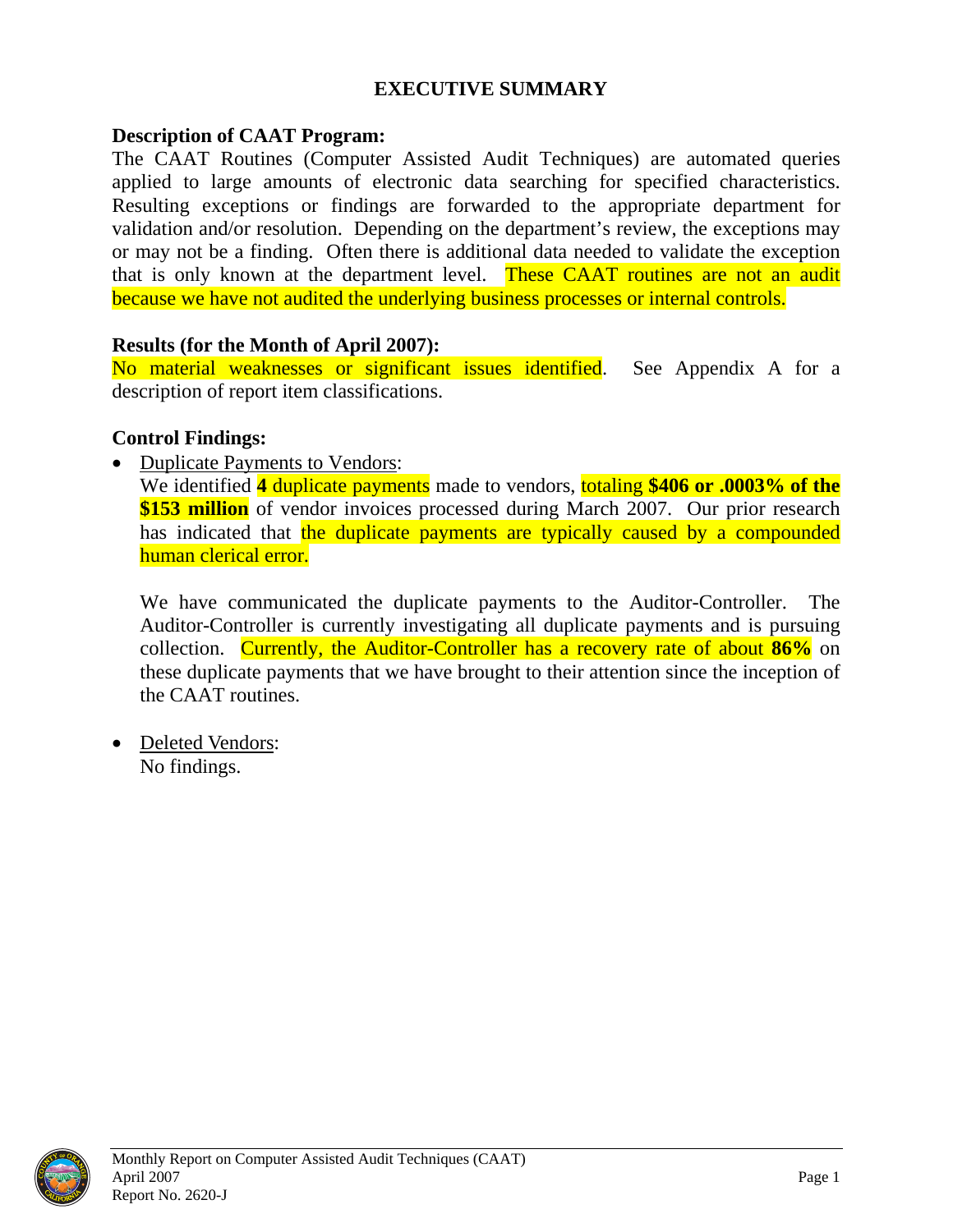#### **EXECUTIVE SUMMARY**

#### <span id="page-4-0"></span>**Description of CAAT Program:**

The CAAT Routines (Computer Assisted Audit Techniques) are automated queries applied to large amounts of electronic data searching for specified characteristics. Resulting exceptions or findings are forwarded to the appropriate department for validation and/or resolution. Depending on the department's review, the exceptions may or may not be a finding. Often there is additional data needed to validate the exception that is only known at the department level. These CAAT routines are not an audit because we have not audited the underlying business processes or internal controls.

#### **Results (for the Month of April 2007):**

No material weaknesses or significant issues identified. See Appendix A for a description of report item classifications.

#### **Control Findings:**

• Duplicate Payments to Vendors:

We identified **4** duplicate payments made to vendors, totaling **\$406 or .0003% of the \$153 million** of vendor invoices processed during March 2007. Our prior research has indicated that the duplicate payments are typically caused by a compounded human clerical error.

We have communicated the duplicate payments to the Auditor-Controller. The Auditor-Controller is currently investigating all duplicate payments and is pursuing collection. Currently, the Auditor-Controller has a recovery rate of about **86%** on these duplicate payments that we have brought to their attention since the inception of the CAAT routines.

• Deleted Vendors: No findings.

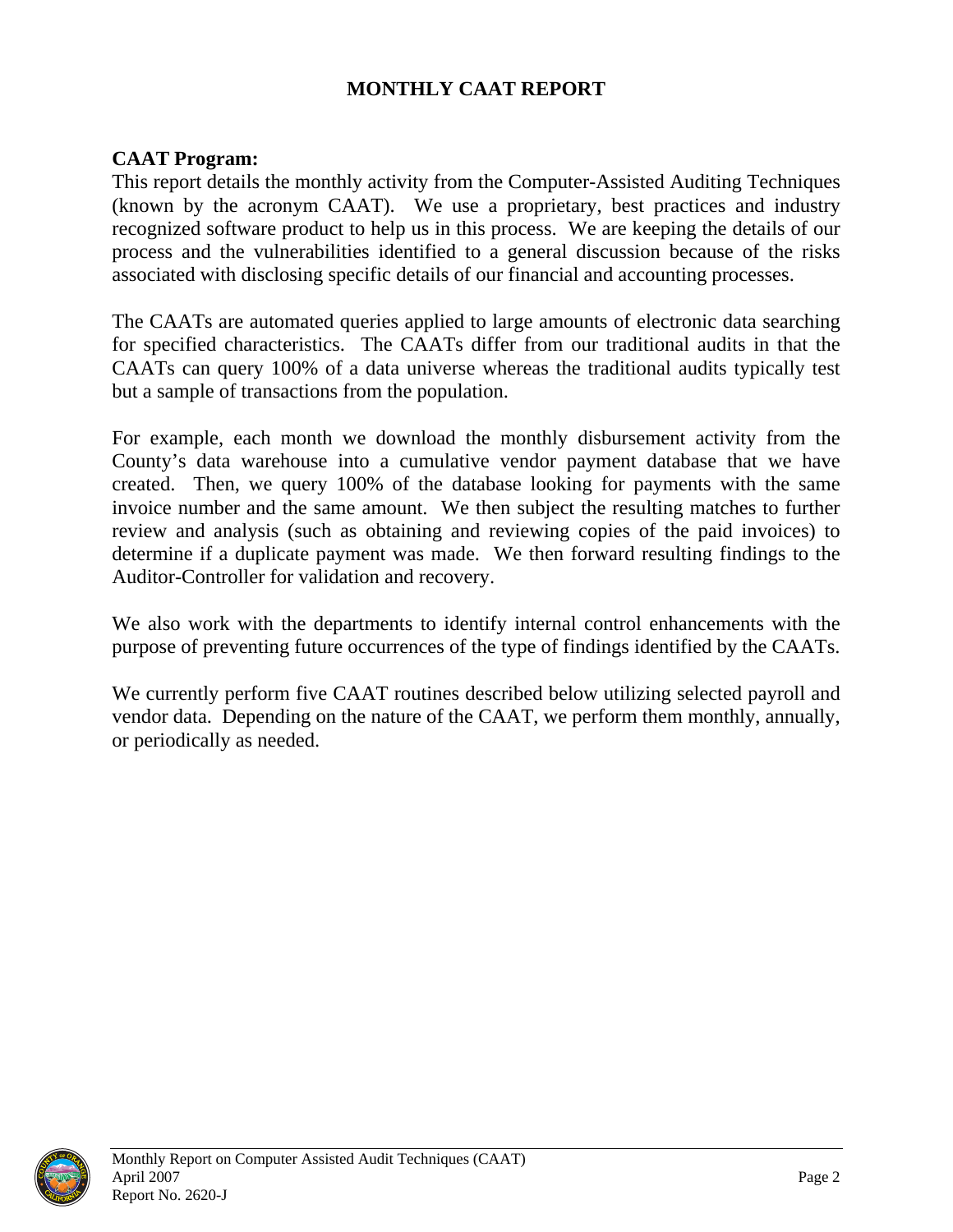#### **MONTHLY CAAT REPORT**

#### <span id="page-5-0"></span>**CAAT Program:**

This report details the monthly activity from the Computer-Assisted Auditing Techniques (known by the acronym CAAT). We use a proprietary, best practices and industry recognized software product to help us in this process. We are keeping the details of our process and the vulnerabilities identified to a general discussion because of the risks associated with disclosing specific details of our financial and accounting processes.

The CAATs are automated queries applied to large amounts of electronic data searching for specified characteristics. The CAATs differ from our traditional audits in that the CAATs can query 100% of a data universe whereas the traditional audits typically test but a sample of transactions from the population.

For example, each month we download the monthly disbursement activity from the County's data warehouse into a cumulative vendor payment database that we have created. Then, we query 100% of the database looking for payments with the same invoice number and the same amount. We then subject the resulting matches to further review and analysis (such as obtaining and reviewing copies of the paid invoices) to determine if a duplicate payment was made. We then forward resulting findings to the Auditor-Controller for validation and recovery.

We also work with the departments to identify internal control enhancements with the purpose of preventing future occurrences of the type of findings identified by the CAATs.

We currently perform five CAAT routines described below utilizing selected payroll and vendor data. Depending on the nature of the CAAT, we perform them monthly, annually, or periodically as needed.

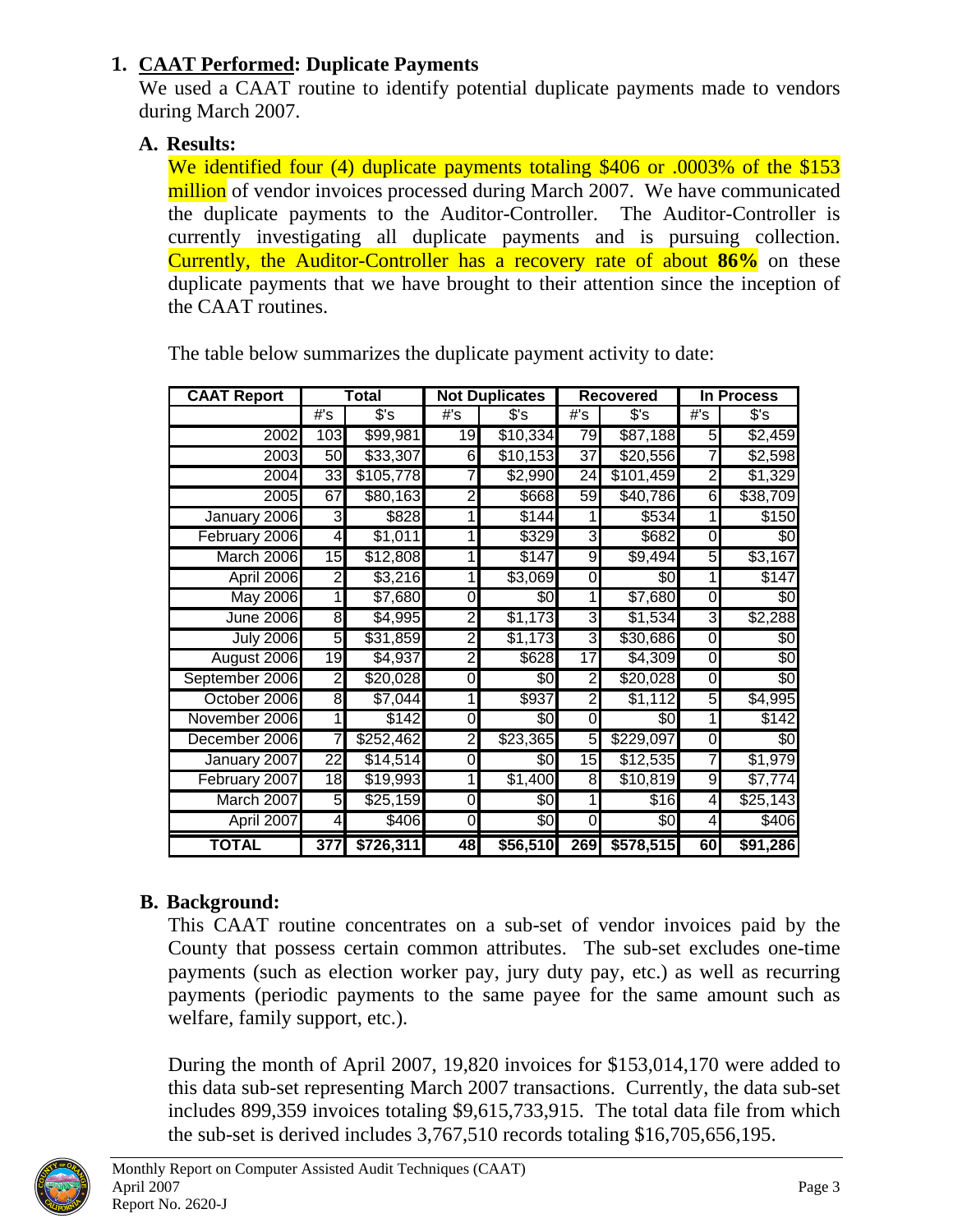#### <span id="page-6-0"></span>**1. CAAT Performed: Duplicate Payments**

We used a CAAT routine to identify potential duplicate payments made to vendors during March 2007.

#### **A. Results:**

We identified four (4) duplicate payments totaling \$406 or .0003% of the \$153 million of vendor invoices processed during March 2007. We have communicated the duplicate payments to the Auditor-Controller. The Auditor-Controller is currently investigating all duplicate payments and is pursuing collection. Currently, the Auditor-Controller has a recovery rate of about **86%** on these duplicate payments that we have brought to their attention since the inception of the CAAT routines.

| <b>CAAT Report</b> |                         | Total     |                 | <b>Not Duplicates</b> |                 | <b>Recovered</b> |                | In Process     |
|--------------------|-------------------------|-----------|-----------------|-----------------------|-----------------|------------------|----------------|----------------|
|                    | #'s                     | s's       | #'s             | s's                   | #'s             | $s$ 's           | #'s            | $s$ 's         |
| 2002               | 103                     | \$99,981  | $\overline{19}$ | \$10,334              | 79              | \$87,188         | 5              | \$2,459        |
| 2003               | 50                      | \$33,307  | 6               | \$10,153              | 37              | \$20,556         | 7              | \$2,598        |
| 2004               | 33                      | \$105,778 | 7               | \$2,990               | 24              | \$101,459        | $\overline{2}$ | \$1,329        |
| 2005               | 67                      | \$80,163  | 2               | \$668                 | 59              | \$40,786         | 6              | \$38,709       |
| January 2006       | 3                       | \$828     | 1               | \$144                 | 1               | \$534            | 1              | \$150          |
| February 2006      | $\overline{\mathbf{4}}$ | \$1,011   | 1               | \$329                 | ω               | \$682            | 0              | \$0            |
| March 2006         | 15                      | \$12,808  | 11              | \$147                 | 9               | $\sqrt{9,494}$   | 5              | \$3,167        |
| April 2006         | $\overline{2}$          | \$3,216   | $\mathbf{1}$    | \$3,069               | 0               | \$0              |                | \$147          |
| <b>May 2006</b>    | 1                       | \$7,680   | 0               | \$0                   |                 | \$7,680          | 0              | \$0            |
| <b>June 2006</b>   | 8                       | \$4,995   | $\overline{2}$  | \$1,173               | ω               | \$1,534          | ω              | \$2,288        |
| <b>July 2006</b>   | 5                       | \$31,859  | 2               | \$1,173               | 3               | \$30,686         | 0              | \$0            |
| August 2006        | 19                      | \$4,937   | $\overline{2}$  | \$628                 | 17              | \$4,309          | 0              | \$0            |
| September 2006     | $\overline{2}$          | \$20,028  | 0               | \$0                   | 2               | \$20,028         | 0              | $\sqrt[6]{30}$ |
| October 2006       | 8                       | \$7,044   | 1               | \$937                 | 2               | \$1,112          | 5              | \$4,995        |
| November 2006      | 1                       | \$142     | 0               | \$0                   | 0               | \$0              | 1              | \$142          |
| December 2006      | 7                       | \$252,462 | 2               | \$23,365              | 5               | \$229,097        | 0l             | \$0            |
| January 2007       | $\overline{22}$         | \$14,514  | 0               | \$0                   | $\overline{15}$ | \$12,535         | 7              | \$1,979        |
| February 2007      | 18                      | \$19,993  | 11              | \$1,400               | 8               | \$10,819         | $\overline{9}$ | \$7,774        |
| March 2007         | 5 <sub>l</sub>          | \$25,159  | 0               | \$0                   | 1               | \$16             | $\overline{4}$ | \$25,143       |
| April 2007         | 4                       | \$406     | 0               | \$0                   | 0               | \$0              | 4              | \$406          |
| <b>TOTAL</b>       | 377                     | \$726,311 | 48              | \$56,510              | 269             | \$578,515        | 60             | \$91,286       |

The table below summarizes the duplicate payment activity to date:

### **B. Background:**

This CAAT routine concentrates on a sub-set of vendor invoices paid by the County that possess certain common attributes. The sub-set excludes one-time payments (such as election worker pay, jury duty pay, etc.) as well as recurring payments (periodic payments to the same payee for the same amount such as welfare, family support, etc.).

During the month of April 2007, 19,820 invoices for \$153,014,170 were added to this data sub-set representing March 2007 transactions. Currently, the data sub-set includes 899,359 invoices totaling \$9,615,733,915. The total data file from which the sub-set is derived includes 3,767,510 records totaling \$16,705,656,195.

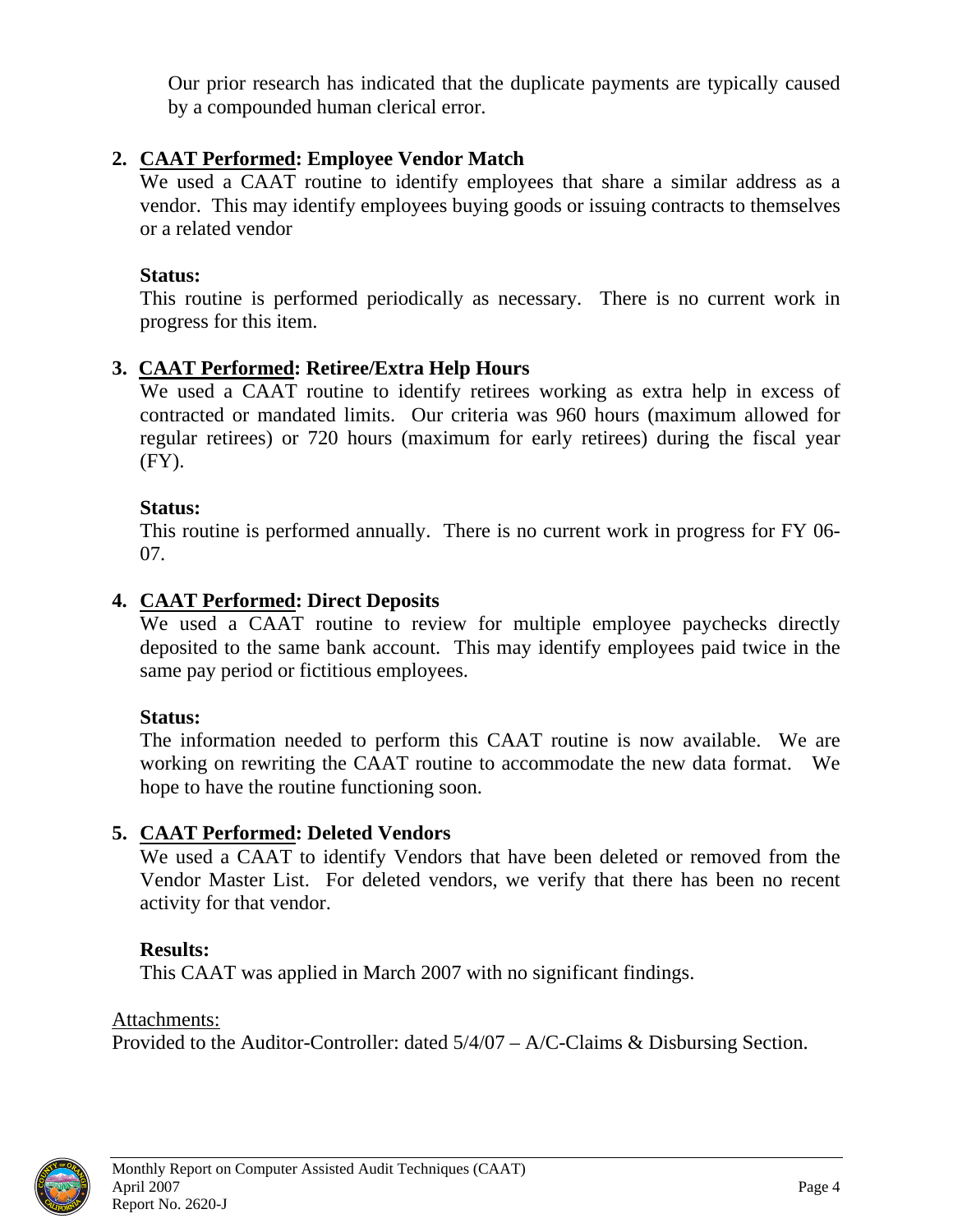<span id="page-7-0"></span>Our prior research has indicated that the duplicate payments are typically caused by a compounded human clerical error.

#### **2. CAAT Performed: Employee Vendor Match**

We used a CAAT routine to identify employees that share a similar address as a vendor. This may identify employees buying goods or issuing contracts to themselves or a related vendor

#### **Status:**

This routine is performed periodically as necessary. There is no current work in progress for this item.

#### **3. CAAT Performed: Retiree/Extra Help Hours**

We used a CAAT routine to identify retirees working as extra help in excess of contracted or mandated limits. Our criteria was 960 hours (maximum allowed for regular retirees) or 720 hours (maximum for early retirees) during the fiscal year (FY).

#### **Status:**

This routine is performed annually. There is no current work in progress for FY 06- 07.

#### **4. CAAT Performed: Direct Deposits**

We used a CAAT routine to review for multiple employee paychecks directly deposited to the same bank account. This may identify employees paid twice in the same pay period or fictitious employees.

#### **Status:**

The information needed to perform this CAAT routine is now available. We are working on rewriting the CAAT routine to accommodate the new data format. We hope to have the routine functioning soon.

#### **5. CAAT Performed: Deleted Vendors**

We used a CAAT to identify Vendors that have been deleted or removed from the Vendor Master List. For deleted vendors, we verify that there has been no recent activity for that vendor.

#### **Results:**

This CAAT was applied in March 2007 with no significant findings.

Attachments: Provided to the Auditor-Controller: dated 5/4/07 – A/C-Claims & Disbursing Section.